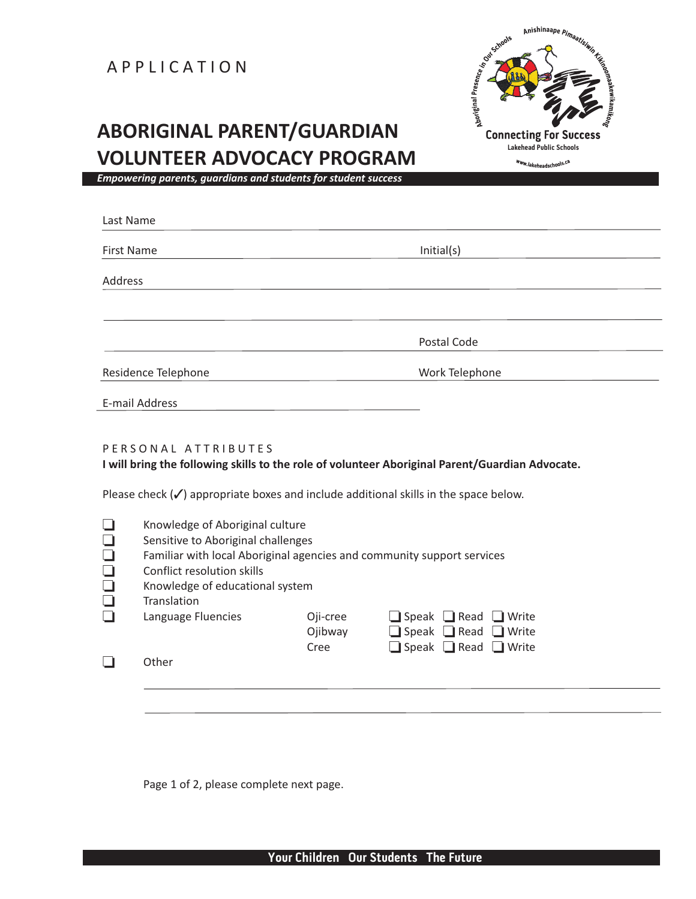## APPLICATION

# **ABORIGINAL PARENT/GUARDIAN VOLUNTEER ADVOCACY PROGRAM**



*Empowering parents, guardians and students for student success*

| Last Name           |                |  |
|---------------------|----------------|--|
| <b>First Name</b>   | Initial(s)     |  |
| Address             |                |  |
|                     |                |  |
|                     | Postal Code    |  |
| Residence Telephone | Work Telephone |  |
| E-mail Address      |                |  |

#### PERSONAL ATTRIBUTES

#### **I will bring the following skills to the role of volunteer Aboriginal Parent/Guardian Advocate.**

Please check  $(\checkmark)$  appropriate boxes and include additional skills in the space below.

| ❏<br>$\Box$ | Knowledge of Aboriginal culture<br>Sensitive to Aboriginal challenges  |                             |                                                                                                                         |  |  |
|-------------|------------------------------------------------------------------------|-----------------------------|-------------------------------------------------------------------------------------------------------------------------|--|--|
| $\Box$      | Familiar with local Aboriginal agencies and community support services |                             |                                                                                                                         |  |  |
| $\Box$      | Conflict resolution skills                                             |                             |                                                                                                                         |  |  |
| $\Box$      | Knowledge of educational system                                        |                             |                                                                                                                         |  |  |
| $\Box$      | Translation                                                            |                             |                                                                                                                         |  |  |
| $\Box$      | Language Fluencies                                                     | Oji-cree<br>Ojibway<br>Cree | $\Box$ Speak $\Box$ Read $\Box$ Write<br>$\Box$ Speak $\Box$ Read $\Box$ Write<br>$\Box$ Speak $\Box$ Read $\Box$ Write |  |  |
| $\Box$      | Other                                                                  |                             |                                                                                                                         |  |  |
|             |                                                                        |                             |                                                                                                                         |  |  |

Page 1 of 2, please complete next page.